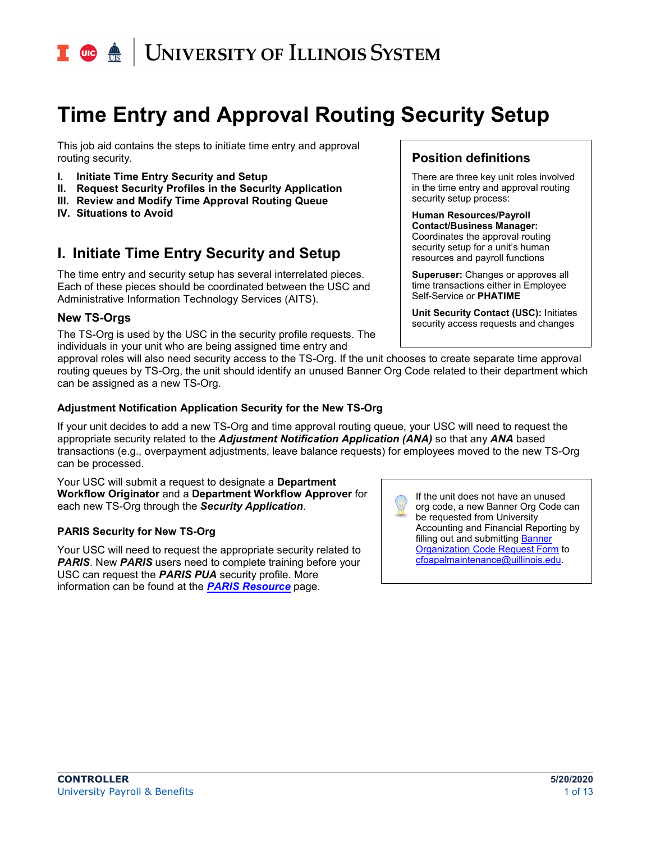## **UNIVERSITY OF ILLINOIS SYSTEM**

## **Time Entry and Approval Routing Security Setup**

This job aid contains the steps to initiate time entry and approval routing security.

- **I. Initiate Time Entry Security and Setup**
- **II. Request Security Profiles in the Security Application**
- **III. Review and Modify Time Approval Routing Queue**
- **IV. Situations to Avoid**

## **I. Initiate Time Entry Security and Setup**

The time entry and security setup has several interrelated pieces. Each of these pieces should be coordinated between the USC and Administrative Information Technology Services (AITS).

#### **New TS-Orgs**

The TS-Org is used by the USC in the security profile requests. The individuals in your unit who are being assigned time entry and

### **Position definitions**

There are three key unit roles involved in the time entry and approval routing security setup process:

**Human Resources/Payroll Contact/Business Manager:**  Coordinates the approval routing security setup for a unit's human resources and payroll functions

**Superuser:** Changes or approves all time transactions either in Employee Self-Service or **PHATIME**

**Unit Security Contact (USC):** Initiates security access requests and changes

approval roles will also need security access to the TS-Org. If the unit chooses to create separate time approval routing queues by TS-Org, the unit should identify an unused Banner Org Code related to their department which can be assigned as a new TS-Org.

#### **Adjustment Notification Application Security for the New TS-Org**

If your unit decides to add a new TS-Org and time approval routing queue, your USC will need to request the appropriate security related to the *Adjustment Notification Application (ANA)* so that any *ANA* based transactions (e.g., overpayment adjustments, leave balance requests) for employees moved to the new TS-Org can be processed.

Your USC will submit a request to designate a **Department Workflow Originator** and a **Department Workflow Approver** for each new TS-Org through the *Security Application*.

#### **PARIS Security for New TS-Org**

Your USC will need to request the appropriate security related to **PARIS.** New **PARIS** users need to complete training before your USC can request the *PARIS PUA* security profile. More information can be found at the *[PARIS Resource](https://www.obfs.uillinois.edu/paris-resources/)* page.

If the unit does not have an unused org code, a new Banner Org Code can be requested from University Accounting and Financial Reporting by filling out and submitting Banner [Organization Code Request Form](https://www.obfs.uillinois.edu/forms/accounting-financial-reporting/) to [cfoapalmaintenance@uillinois.edu.](mailto:cfoapalmaintenance@uillinois.edu)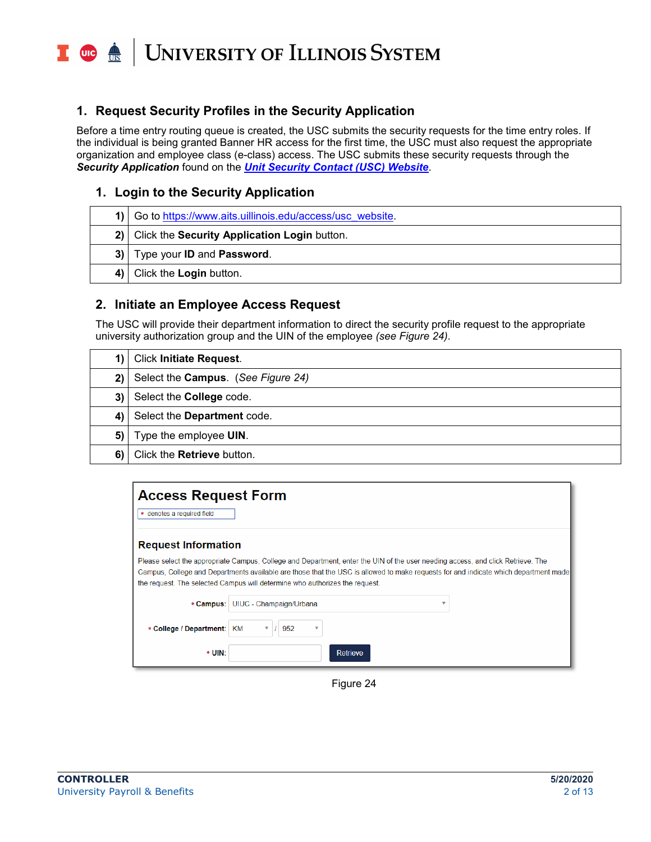T due <u>de</u> **UNIVERSITY OF ILLINOIS SYSTEM** 

### **1. Request Security Profiles in the Security Application**

Before a time entry routing queue is created, the USC submits the security requests for the time entry roles. If the individual is being granted Banner HR access for the first time, the USC must also request the appropriate organization and employee class (e-class) access. The USC submits these security requests through the *Security Application* found on the *[Unit Security Contact \(USC\) Website](https://www.aits.uillinois.edu/access/usc_website)*.

### **1. Login to the Security Application**

|    | 1) Go to https://www.aits.uillinois.edu/access/usc_website. |
|----|-------------------------------------------------------------|
|    | 2) Click the Security Application Login button.             |
| 3) | Type your <b>ID</b> and <b>Password</b> .                   |
|    | 4) Click the Login button.                                  |

### <span id="page-1-0"></span>**2. Initiate an Employee Access Request**

The USC will provide their department information to direct the security profile request to the appropriate university authorization group and the UIN of the employee *(see Figure 24)*.

| 1) | <b>Click Initiate Request.</b>     |
|----|------------------------------------|
| 2) | Select the Campus. (See Figure 24) |
| 3) | Select the <b>College</b> code.    |
| 4) | Select the Department code.        |
| 5) | Type the employee UIN.             |
| 6) | Click the Retrieve button.         |

<span id="page-1-1"></span>

| <b>Access Request Form</b> |                                                                                                                                                                                                                                                                                                                                                       |
|----------------------------|-------------------------------------------------------------------------------------------------------------------------------------------------------------------------------------------------------------------------------------------------------------------------------------------------------------------------------------------------------|
| * denotes a required field |                                                                                                                                                                                                                                                                                                                                                       |
| <b>Request Information</b> |                                                                                                                                                                                                                                                                                                                                                       |
|                            | Please select the appropriate Campus, College and Department, enter the UIN of the user needing access, and click Retrieve. The<br>Campus, College and Departments available are those that the USC is allowed to make requests for and indicate which department made<br>the request. The selected Campus will determine who authorizes the request. |
| * Campus:                  | UIUC - Champaign/Urbana<br>▼                                                                                                                                                                                                                                                                                                                          |
| * College / Department:    | 952<br>КM<br>▼<br>$\overline{\mathbf{v}}$                                                                                                                                                                                                                                                                                                             |
| * UIN:                     | Retrieve                                                                                                                                                                                                                                                                                                                                              |

Figure 24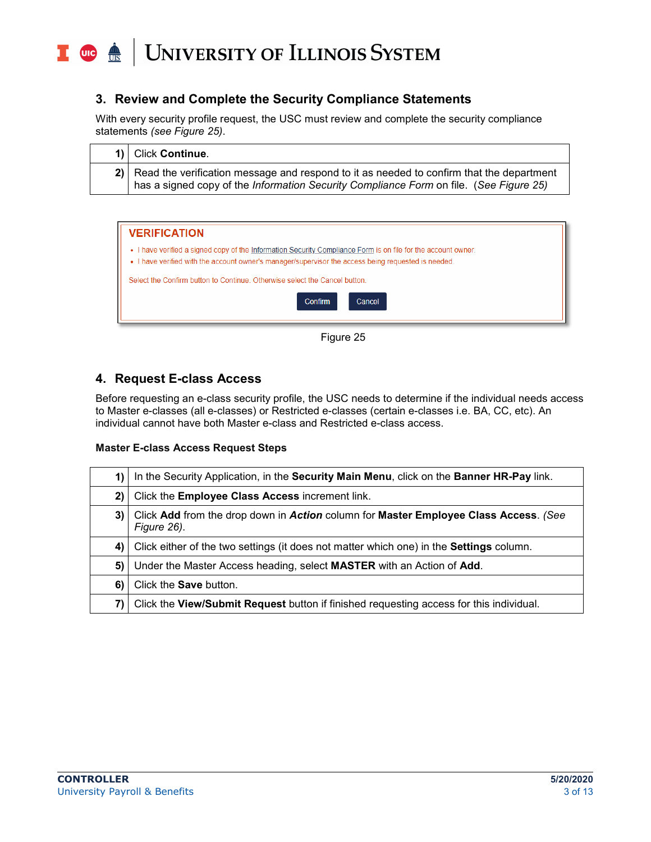## UNIVERSITY OF ILLINOIS SYSTEM T due de

## **3. Review and Complete the Security Compliance Statements**

With every security profile request, the USC must review and complete the security compliance statements *(see Figure 25)*.

| 1) Click Continue.                                                                                                                                                                    |
|---------------------------------------------------------------------------------------------------------------------------------------------------------------------------------------|
| 2) Read the verification message and respond to it as needed to confirm that the department<br>has a signed copy of the Information Security Compliance Form on file. (See Figure 25) |

<span id="page-2-0"></span>

| <b>VERIFICATION</b>                                                                                                                                                                                                                                                                                |  |
|----------------------------------------------------------------------------------------------------------------------------------------------------------------------------------------------------------------------------------------------------------------------------------------------------|--|
| • I have verified a signed copy of the Information Security Compliance Form is on file for the account owner.<br>• I have verified with the account owner's manager/supervisor the access being requested is needed.<br>Select the Confirm button to Continue. Otherwise select the Cancel button. |  |
| <b>Confirm</b><br>Cancel                                                                                                                                                                                                                                                                           |  |



## **4. Request E-class Access**

Before requesting an e-class security profile, the USC needs to determine if the individual needs access to Master e-classes (all e-classes) or Restricted e-classes (certain e-classes i.e. BA, CC, etc). An individual cannot have both Master e-class and Restricted e-class access.

#### **Master E-class Access Request Steps**

| 1) | In the Security Application, in the Security Main Menu, click on the Banner HR-Pay link.            |
|----|-----------------------------------------------------------------------------------------------------|
| 2) | Click the <b>Employee Class Access</b> increment link.                                              |
| 3) | Click Add from the drop down in Action column for Master Employee Class Access. (See<br>Figure 26). |
| 4) | Click either of the two settings (it does not matter which one) in the <b>Settings</b> column.      |
| 5) | Under the Master Access heading, select MASTER with an Action of Add.                               |
| 6) | Click the <b>Save</b> button.                                                                       |
| 7) | Click the View/Submit Request button if finished requesting access for this individual.             |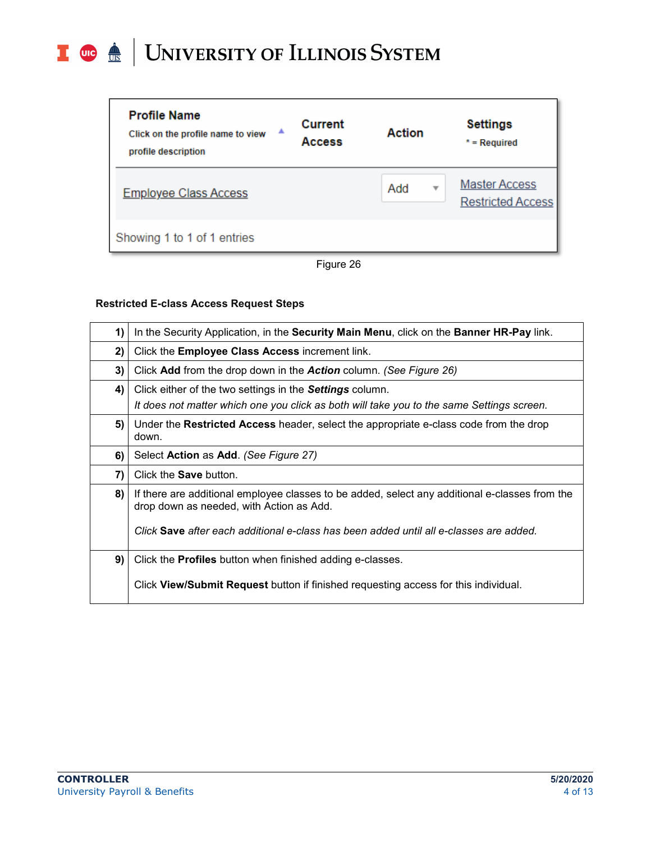## I **the detection of South SCITLE SETTEM**

| <b>Profile Name</b><br>▲<br>Click on the profile name to view<br>profile description | Current<br><b>Access</b> | Action   | <b>Settings</b><br>$*$ = Required                |
|--------------------------------------------------------------------------------------|--------------------------|----------|--------------------------------------------------|
| <b>Employee Class Access</b>                                                         |                          | Add<br>v | <b>Master Access</b><br><b>Restricted Access</b> |
| Showing 1 to 1 of 1 entries                                                          |                          |          |                                                  |



#### **Restricted E-class Access Request Steps**

| 1) | In the Security Application, in the Security Main Menu, click on the Banner HR-Pay link.                                                                     |
|----|--------------------------------------------------------------------------------------------------------------------------------------------------------------|
| 2) | Click the Employee Class Access increment link.                                                                                                              |
| 3) | Click Add from the drop down in the Action column. (See Figure 26)                                                                                           |
| 4) | Click either of the two settings in the <b>Settings</b> column.<br>It does not matter which one you click as both will take you to the same Settings screen. |
| 5) | Under the Restricted Access header, select the appropriate e-class code from the drop<br>down.                                                               |
| 6) | Select Action as Add. (See Figure 27)                                                                                                                        |
| 7) | Click the <b>Save</b> button.                                                                                                                                |
| 8) | If there are additional employee classes to be added, select any additional e-classes from the<br>drop down as needed, with Action as Add.                   |
|    | Click Save after each additional e-class has been added until all e-classes are added.                                                                       |
| 9) | Click the <b>Profiles</b> button when finished adding e-classes.                                                                                             |
|    | Click View/Submit Request button if finished requesting access for this individual.                                                                          |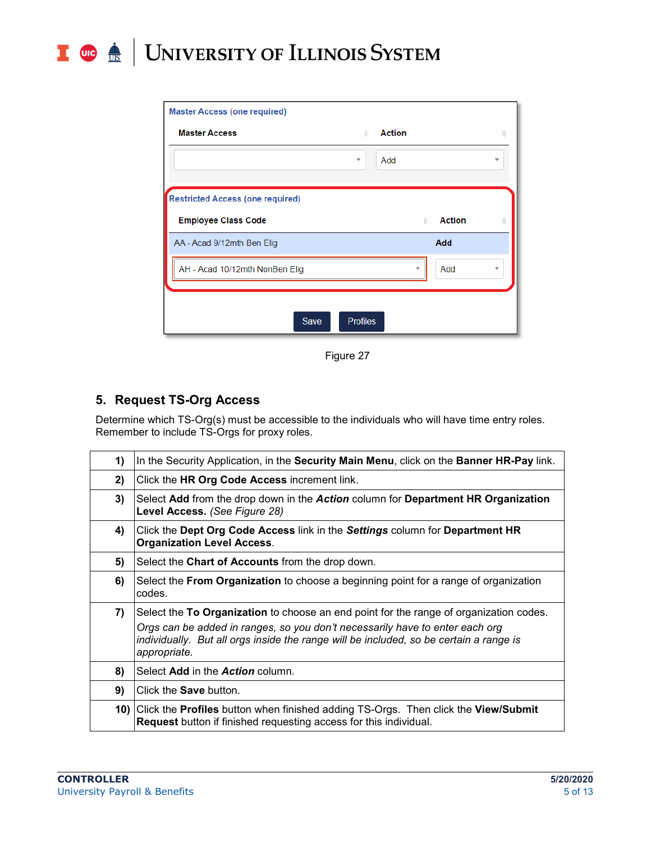### T due de UNIVERSITY OF ILLINOIS SYSTEM

| <b>Master Access (one required)</b>     |                                |   |
|-----------------------------------------|--------------------------------|---|
| <b>Master Access</b>                    | <b>Action</b><br>÷             | ÷ |
|                                         | Add<br>$\overline{\mathbf{v}}$ | v |
| <b>Restricted Access (one required)</b> |                                |   |
| <b>Employee Class Code</b>              | <b>Action</b><br>ê             | ÷ |
| AA - Acad 9/12mth Ben Elig              | Add                            |   |
| AH - Acad 10/12mth NonBen Elig          | Add                            | v |
|                                         |                                |   |
| Save                                    | <b>Profiles</b>                |   |
|                                         |                                |   |

Figure 27

## <span id="page-4-0"></span>**5. Request TS-Org Access**

Determine which TS-Org(s) must be accessible to the individuals who will have time entry roles. Remember to include TS-Orgs for proxy roles.

| 1) | In the Security Application, in the Security Main Menu, click on the Banner HR-Pay link.                                                                                                                                                                                         |
|----|----------------------------------------------------------------------------------------------------------------------------------------------------------------------------------------------------------------------------------------------------------------------------------|
| 2) | Click the HR Org Code Access increment link.                                                                                                                                                                                                                                     |
| 3) | Select Add from the drop down in the Action column for Department HR Organization<br>Level Access. (See Figure 28)                                                                                                                                                               |
| 4) | Click the Dept Org Code Access link in the Settings column for Department HR<br><b>Organization Level Access.</b>                                                                                                                                                                |
| 5) | Select the Chart of Accounts from the drop down.                                                                                                                                                                                                                                 |
| 6) | Select the <b>From Organization</b> to choose a beginning point for a range of organization<br>codes.                                                                                                                                                                            |
| 7) | Select the To Organization to choose an end point for the range of organization codes.<br>Orgs can be added in ranges, so you don't necessarily have to enter each org<br>individually. But all orgs inside the range will be included, so be certain a range is<br>appropriate. |
| 8) | Select Add in the Action column.                                                                                                                                                                                                                                                 |
| 9) | Click the <b>Save</b> button.                                                                                                                                                                                                                                                    |
|    | 10) Click the Profiles button when finished adding TS-Orgs. Then click the View/Submit<br><b>Request</b> button if finished requesting access for this individual.                                                                                                               |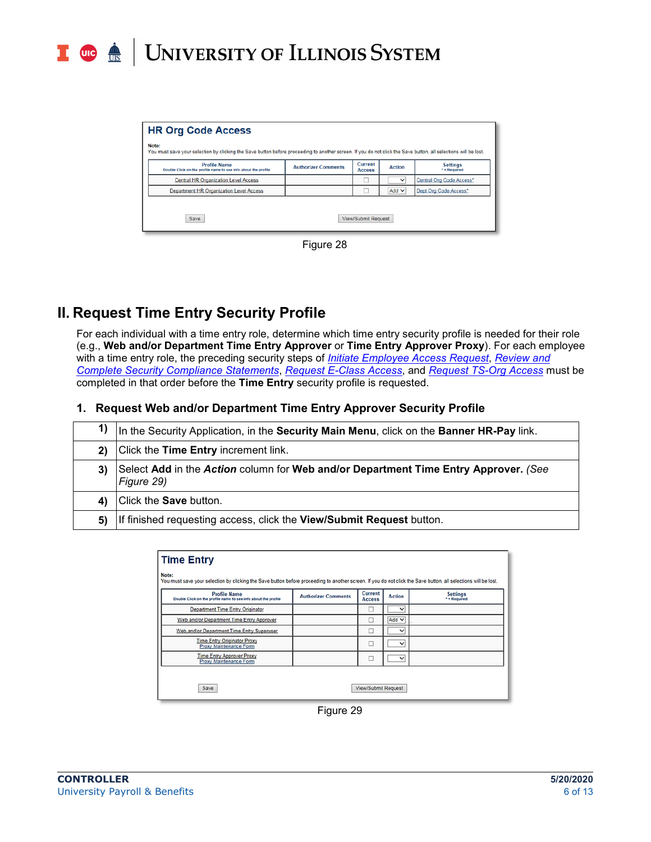## UNIVERSITY OF ILLINOIS SYSTEM **UIC** <u>AIS</u>

| <b>HR Org Code Access</b>                                                                                                                                                |                            |                                 |               |                                   |
|--------------------------------------------------------------------------------------------------------------------------------------------------------------------------|----------------------------|---------------------------------|---------------|-----------------------------------|
| Note:<br>You must save your selection by clicking the Save button before proceeding to another screen. If you do not click the Save button, all selections will be lost. |                            |                                 |               |                                   |
| <b>Profile Name</b><br>Double Click on the profile name to see info about the profile                                                                                    | <b>Authorizer Comments</b> | <b>Current</b><br><b>Access</b> | <b>Action</b> | <b>Settings</b><br>$*$ = Required |
| <b>Central HR Organization Level Access</b>                                                                                                                              |                            |                                 | $\checkmark$  | Central Org Code Access*          |
| <b>Department HR Organization Level Access</b>                                                                                                                           |                            |                                 | Add $\vee$    | Dept Org Code Access*             |
| Save<br><b>View/Submit Request</b>                                                                                                                                       |                            |                                 |               |                                   |



## **II. Request Time Entry Security Profile**

For each individual with a time entry role, determine which time entry security profile is needed for their role (e.g., **Web and/or Department Time Entry Approver** or **Time Entry Approver Proxy**). For each employee with a time entry role, the preceding security steps of *[Initiate Employee Access Request](#page-1-0)*, *[Review and](#page-1-1)  [Complete Security Compliance Statements](#page-1-1)*, *[Request E-Class Access](#page-2-0)*, and *[Request TS-Org Access](#page-4-0)* must be completed in that order before the **Time Entry** security profile is requested.

#### **1. Request Web and/or Department Time Entry Approver Security Profile**

| 1)     | In the Security Application, in the Security Main Menu, click on the Banner HR-Pay link.          |
|--------|---------------------------------------------------------------------------------------------------|
| 2)     | Click the Time Entry increment link.                                                              |
| 3)     | Select Add in the Action column for Web and/or Department Time Entry Approver. (See<br>Figure 29) |
| $\sim$ | Click the <b>Save</b> button.                                                                     |
| 5)     | If finished requesting access, click the View/Submit Request button.                              |

| <b>Time Entry</b>                                                                                                                                                                                     |  |                     |              |  |  |
|-------------------------------------------------------------------------------------------------------------------------------------------------------------------------------------------------------|--|---------------------|--------------|--|--|
| Note:<br>You must save your selection by clicking the Save button before proceeding to another screen. If you do not click the Save button, all selections will be lost.                              |  |                     |              |  |  |
| Current<br><b>Profile Name</b><br><b>Settings</b><br><b>Authorizer Comments</b><br><b>Action</b><br>$*$ = Required<br>Double Click on the profile name to see info about the profile<br><b>Access</b> |  |                     |              |  |  |
| <b>Department Time Entry Originator</b>                                                                                                                                                               |  | □                   | $\checkmark$ |  |  |
| Web and/or Department Time Entry Approver                                                                                                                                                             |  |                     | Add $\vee$   |  |  |
| Web and/or Department Time Entry Superuser                                                                                                                                                            |  | □                   | $\checkmark$ |  |  |
| <b>Time Entry Originator Proxy</b><br>Proxy Maintenance Form                                                                                                                                          |  | ப                   | $\check{ }$  |  |  |
| <b>Time Entry Approver Proxy</b><br>Proxy Maintenance Form                                                                                                                                            |  | П                   | $\check{ }$  |  |  |
|                                                                                                                                                                                                       |  |                     |              |  |  |
| Save                                                                                                                                                                                                  |  | View/Submit Request |              |  |  |

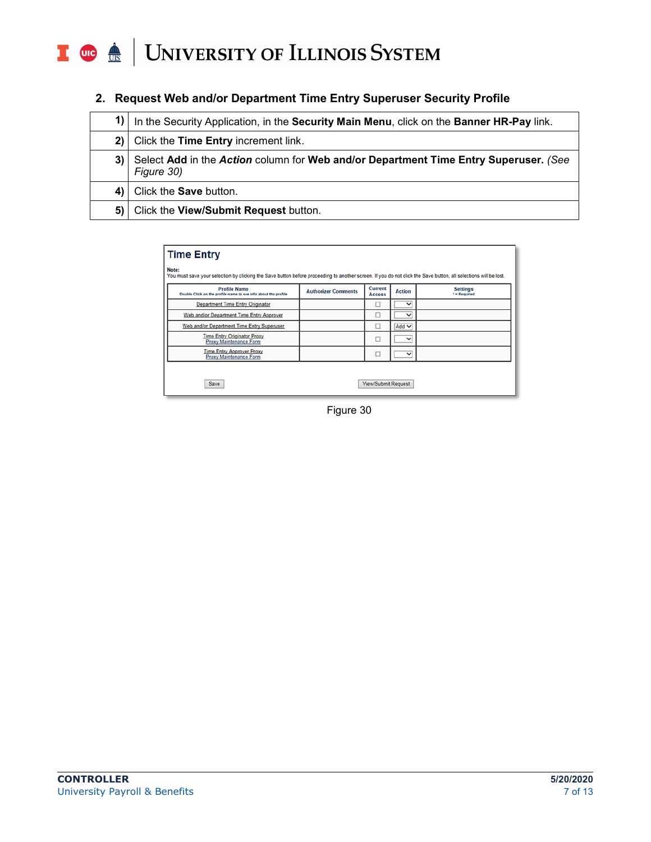### T die <u>dis</u> UNIVERSITY OF ILLINOIS SYSTEM

| 1)   | In the Security Application, in the Security Main Menu, click on the Banner HR-Pay link.           |
|------|----------------------------------------------------------------------------------------------------|
| $2)$ | Click the Time Entry increment link.                                                               |
| 3)   | Select Add in the Action column for Web and/or Department Time Entry Superuser. (See<br>Figure 30) |
| 4) I | Click the <b>Save</b> button.                                                                      |
| 5) I | Click the View/Submit Request button.                                                              |

**2. Request Web and/or Department Time Entry Superuser Security Profile**

| Click the <b>Save</b> button.                                                                                                                                            |                            |         |        |                 |  |
|--------------------------------------------------------------------------------------------------------------------------------------------------------------------------|----------------------------|---------|--------|-----------------|--|
| Click the View/Submit Request button.                                                                                                                                    |                            |         |        |                 |  |
|                                                                                                                                                                          |                            |         |        |                 |  |
| <b>Time Entry</b>                                                                                                                                                        |                            |         |        |                 |  |
| Note:<br>You must save your selection by clicking the Save button before proceeding to another screen. If you do not click the Save button, all selections will be lost. |                            |         |        |                 |  |
| <b>Profile Name</b>                                                                                                                                                      | <b>Authorizer Comments</b> | Current | Action | <b>Settings</b> |  |

| <b>Profile Name</b><br>Double Click on the profile name to see info about the profile | <b>Authorizer Comments</b> | Current<br><b>Access</b>   | <b>Action</b> | <b>Settings</b><br>* = Required |
|---------------------------------------------------------------------------------------|----------------------------|----------------------------|---------------|---------------------------------|
| <b>Department Time Entry Originator</b>                                               |                            |                            | $\checkmark$  |                                 |
| Web and/or Department Time Entry Approver                                             |                            |                            | $\checkmark$  |                                 |
| Web and/or Department Time Entry Superuser                                            |                            |                            | $Add$ $\vee$  |                                 |
| <b>Time Entry Originator Proxy</b><br>Proxy Maintenance Form                          |                            |                            | $\checkmark$  |                                 |
| <b>Time Entry Approver Proxy</b><br>Proxy Maintenance Form                            |                            |                            | $\checkmark$  |                                 |
| Save                                                                                  |                            | <b>View/Submit Request</b> |               |                                 |

Figure 30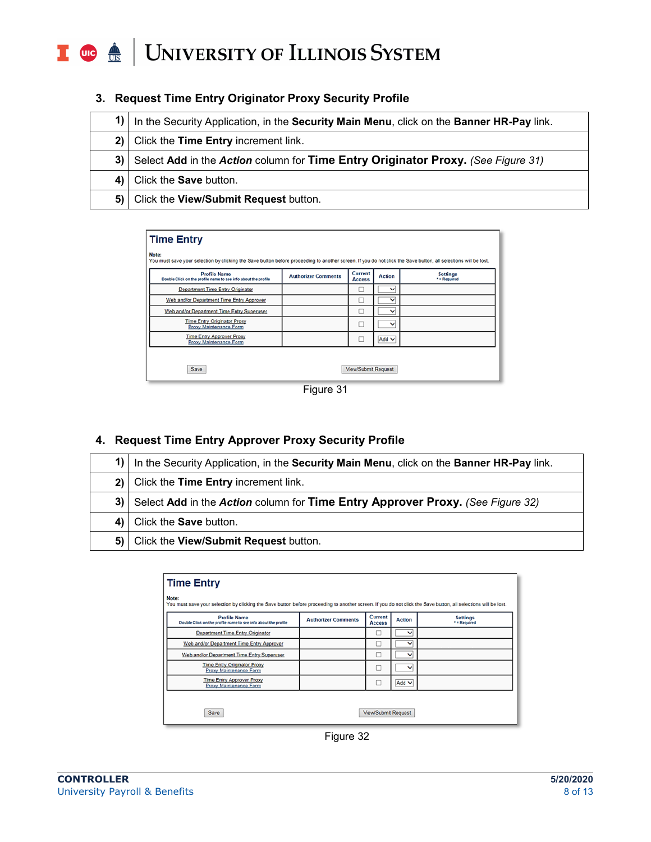## I **the detection of South SCITLE SETTEM**

|      | 1) In the Security Application, in the Security Main Menu, click on the Banner HR-Pay link. |
|------|---------------------------------------------------------------------------------------------|
|      | 2) Click the Time Entry increment link.                                                     |
|      | 3) Select Add in the Action column for Time Entry Originator Proxy. (See Figure 31)         |
|      | 4) Click the <b>Save</b> button.                                                            |
| 5) I | Click the View/Submit Request button.                                                       |

#### **3. Request Time Entry Originator Proxy Security Profile**

| <b>Time Entry</b>                                                                                                                                                        |                            |                          |               |                                 |
|--------------------------------------------------------------------------------------------------------------------------------------------------------------------------|----------------------------|--------------------------|---------------|---------------------------------|
| Note:<br>You must save your selection by clicking the Save button before proceeding to another screen. If you do not click the Save button, all selections will be lost. |                            |                          |               |                                 |
| <b>Profile Name</b><br>Double Click on the profile name to see info about the profile                                                                                    | <b>Authorizer Comments</b> | Current<br><b>Access</b> | <b>Action</b> | <b>Settings</b><br>* = Required |
| Department Time Entry Originator                                                                                                                                         |                            |                          | $\checkmark$  |                                 |
| Web and/or Department Time Entry Approver                                                                                                                                |                            |                          | ◡             |                                 |
| Web and/or Department Time Entry Superuser                                                                                                                               |                            | ப                        | $\check{ }$   |                                 |
| <b>Time Entry Originator Proxy</b><br>Proxy Maintenance Form                                                                                                             |                            | о                        | $\check{ }$   |                                 |
| <b>Time Entry Approver Proxy</b><br>Proxy Maintenance Form                                                                                                               |                            | п                        | Add $\vee$    |                                 |
|                                                                                                                                                                          |                            |                          |               |                                 |
| Save                                                                                                                                                                     |                            | View/Submit Request      |               |                                 |



## **4. Request Time Entry Approver Proxy Security Profile**

|    | 1) In the Security Application, in the Security Main Menu, click on the Banner HR-Pay link. |
|----|---------------------------------------------------------------------------------------------|
|    | 2) Click the Time Entry increment link.                                                     |
|    | 3) Select Add in the Action column for Time Entry Approver Proxy. (See Figure 32)           |
|    | 4) Click the <b>Save</b> button.                                                            |
| 5) | Click the View/Submit Request button.                                                       |

| <b>Time Entry</b>                                                                     |                                                                                                                                                                 |                            |               |                                 |  |  |
|---------------------------------------------------------------------------------------|-----------------------------------------------------------------------------------------------------------------------------------------------------------------|----------------------------|---------------|---------------------------------|--|--|
| Note:                                                                                 | You must save your selection by clicking the Save button before proceeding to another screen. If you do not click the Save button, all selections will be lost. |                            |               |                                 |  |  |
| <b>Profile Name</b><br>Double Click on the profile name to see info about the profile | <b>Authorizer Comments</b>                                                                                                                                      | Current<br><b>Access</b>   | <b>Action</b> | <b>Settings</b><br>* = Required |  |  |
| Department Time Entry Originator                                                      |                                                                                                                                                                 |                            | $\check{ }$   |                                 |  |  |
| Web and/or Department Time Entry Approver                                             |                                                                                                                                                                 |                            | $\check{ }$   |                                 |  |  |
| Web and/or Department Time Entry Superuser                                            |                                                                                                                                                                 | ⊔                          | v             |                                 |  |  |
| <b>Time Entry Originator Proxy</b><br>Proxy Maintenance Form                          |                                                                                                                                                                 | о                          | $\checkmark$  |                                 |  |  |
| <b>Time Entry Approver Proxy</b><br>Proxy Maintenance Form                            |                                                                                                                                                                 |                            | Add $\vee$    |                                 |  |  |
|                                                                                       |                                                                                                                                                                 |                            |               |                                 |  |  |
| Save                                                                                  |                                                                                                                                                                 | <b>View/Submit Request</b> |               |                                 |  |  |

Figure 32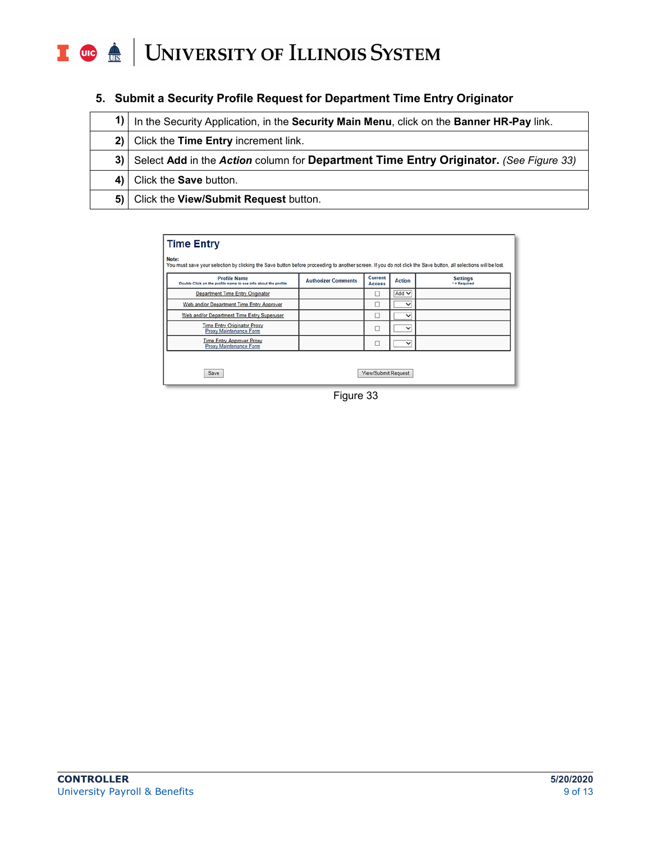## I **C**  $\triangleq$  UNIVERSITY OF ILLINOIS SYSTEM

|  |  | 5. Submit a Security Profile Request for Department Time Entry Originator |  |
|--|--|---------------------------------------------------------------------------|--|
|  |  |                                                                           |  |

| In the Security Application, in the Security Main Menu, click on the Banner HR-Pay link. |
|------------------------------------------------------------------------------------------|
| 2) Click the Time Entry increment link.                                                  |
| 3) Select Add in the Action column for Department Time Entry Originator. (See Figure 33) |
| 4) Click the <b>Save</b> button.                                                         |
| 5) Click the View/Submit Request button.                                                 |

| <b>Time Entry</b>                                                                                                                                                                                   |  |                     |              |  |  |
|-----------------------------------------------------------------------------------------------------------------------------------------------------------------------------------------------------|--|---------------------|--------------|--|--|
| Note:<br>You must save your selection by clicking the Save button before proceeding to another screen. If you do not click the Save button, all selections will be lost.                            |  |                     |              |  |  |
| Current<br><b>Profile Name</b><br><b>Settings</b><br><b>Authorizer Comments</b><br><b>Action</b><br>* = Required<br>Double Click on the profile name to see info about the profile<br><b>Access</b> |  |                     |              |  |  |
| Department Time Entry Originator                                                                                                                                                                    |  |                     | $Add$ $\vee$ |  |  |
| Web and/or Department Time Entry Approver                                                                                                                                                           |  | L                   | $\check{ }$  |  |  |
| Web and/or Department Time Entry Superuser                                                                                                                                                          |  | □                   | $\check{ }$  |  |  |
| <b>Time Entry Originator Proxy</b><br>Proxy Maintenance Form                                                                                                                                        |  | u                   | $\check{ }$  |  |  |
| <b>Time Entry Approver Proxy</b><br>Proxy Maintenance Form                                                                                                                                          |  |                     | $\check{ }$  |  |  |
|                                                                                                                                                                                                     |  |                     |              |  |  |
| Save                                                                                                                                                                                                |  | View/Submit Request |              |  |  |

Figure 33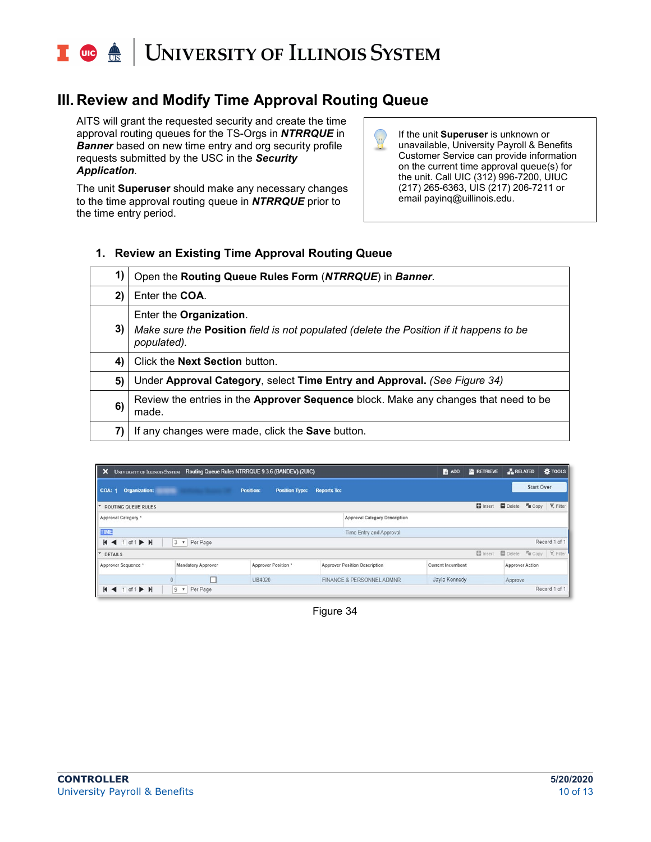## UNIVERSITY OF ILLINOIS SYSTEM **UIC**

## **III. Review and Modify Time Approval Routing Queue**

AITS will grant the requested security and create the time approval routing queues for the TS-Orgs in *NTRRQUE* in **Banner** based on new time entry and org security profile requests submitted by the USC in the *Security Application.*

The unit **Superuser** should make any necessary changes to the time approval routing queue in *NTRRQUE* prior to the time entry period.

If the unit **Superuser** is unknown or unavailable, University Payroll & Benefits Customer Service can provide information on the current time approval queue(s) for the unit. Call UIC (312) 996-7200, UIUC (217) 265-6363, UIS (217) 206-7211 or email payinq@uillinois.edu.

### **1. Review an Existing Time Approval Routing Queue**

| 1) | Open the Routing Queue Rules Form (NTRRQUE) in Banner.                                                                                  |
|----|-----------------------------------------------------------------------------------------------------------------------------------------|
| 2) | Enter the COA.                                                                                                                          |
| 3) | Enter the Organization.<br>Make sure the <b>Position</b> field is not populated (delete the Position if it happens to be<br>populated). |
| 4) | Click the <b>Next Section</b> button.                                                                                                   |
| 5) | Under Approval Category, select Time Entry and Approval. (See Figure 34)                                                                |
| 6) | Review the entries in the Approver Sequence block. Make any changes that need to be<br>made.                                            |
| 7) | If any changes were made, click the <b>Save</b> button.                                                                                 |

| $\boldsymbol{\mathsf{x}}$                                                                                          |                               | UNIVERSITY OF ILLINOIS SYSTEM Routing Queue Rules NTRRQUE 9.3.6 (BANDEV) (2UIC) |                    |                                      | $\blacksquare$ ADD       | <b>RETRIEVE</b> | <b>A RELATED</b>                |                       | <b>IS TOOLS</b>   |
|--------------------------------------------------------------------------------------------------------------------|-------------------------------|---------------------------------------------------------------------------------|--------------------|--------------------------------------|--------------------------|-----------------|---------------------------------|-----------------------|-------------------|
| <b>COA: 1</b><br>Organization:                                                                                     |                               | <b>Position Type:</b><br><b>Position:</b>                                       | <b>Reports To:</b> |                                      |                          |                 |                                 | <b>Start Over</b>     |                   |
| IV.<br><b>ROUTING QUEUE RULES</b>                                                                                  |                               |                                                                                 |                    |                                      |                          |                 | <b>D</b> Insert <b>D</b> Delete | $T_{\text{III}}$ Copy | <b>Y</b> , Filter |
| Approval Category *                                                                                                |                               |                                                                                 |                    | <b>Approval Category Description</b> |                          |                 |                                 |                       |                   |
| TIME<br>Time Entry and Approval                                                                                    |                               |                                                                                 |                    |                                      |                          |                 |                                 |                       |                   |
| $M$ 4 1 of 1 $M$                                                                                                   | 3<br>Per Page<br>$\mathbf{v}$ |                                                                                 |                    |                                      |                          |                 |                                 |                       | Record 1 of 1     |
| E Insert<br>Delete <sup>v</sup> a Copy <b>Y</b> , Filter<br><b>V</b> DETAILS                                       |                               |                                                                                 |                    |                                      |                          |                 |                                 |                       |                   |
| Approver Sequence *                                                                                                | Mandatory Approver            | Approver Position *                                                             |                    | <b>Approver Position Description</b> | <b>Current Incumbent</b> |                 | <b>Approver Action</b>          |                       |                   |
|                                                                                                                    |                               | UB4020                                                                          |                    | FINANCE & PERSONNEL ADMNR            | Jayla Kennedy            |                 | Approve                         |                       |                   |
| Record 1 of 1<br>$\overline{9}$<br>Per Page<br>of $1 \triangleright H$<br>$M \blacktriangleleft 1$<br>$\mathbf{v}$ |                               |                                                                                 |                    |                                      |                          |                 |                                 |                       |                   |

Figure 34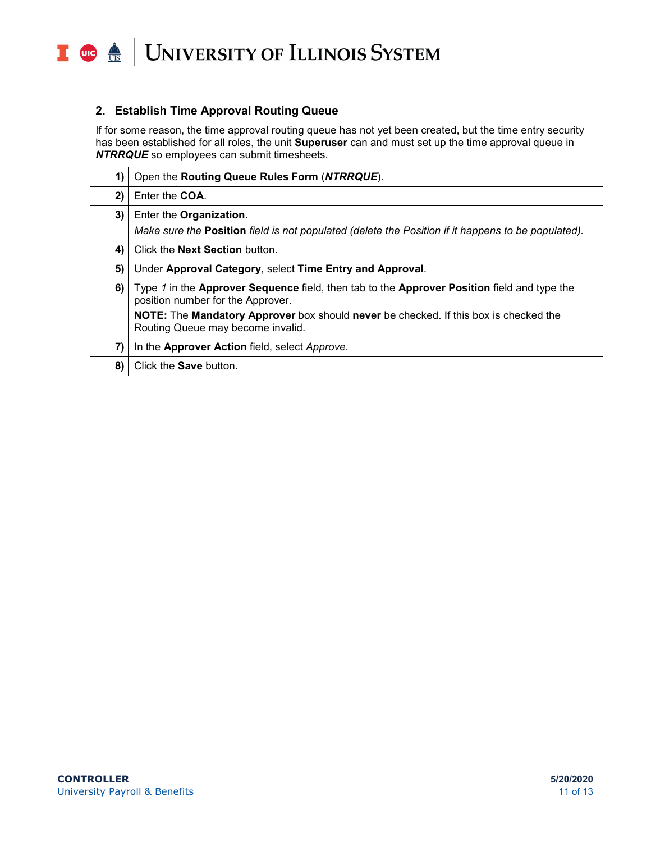

#### **2. Establish Time Approval Routing Queue**

If for some reason, the time approval routing queue has not yet been created, but the time entry security has been established for all roles, the unit **Superuser** can and must set up the time approval queue in *NTRRQUE* so employees can submit timesheets.

| 1) | Open the Routing Queue Rules Form (NTRRQUE).                                                                                                   |
|----|------------------------------------------------------------------------------------------------------------------------------------------------|
| 2) | Enter the COA.                                                                                                                                 |
| 3) | Enter the Organization.<br>Make sure the <b>Position</b> field is not populated (delete the Position if it happens to be populated).           |
| 4) | Click the <b>Next Section</b> button.                                                                                                          |
| 5) | Under Approval Category, select Time Entry and Approval.                                                                                       |
| 6) | Type 1 in the Approver Sequence field, then tab to the Approver Position field and type the<br>position number for the Approver.               |
|    | <b>NOTE:</b> The <b>Mandatory Approver</b> box should <b>never</b> be checked. If this box is checked the<br>Routing Queue may become invalid. |
| 7) | In the Approver Action field, select Approve.                                                                                                  |
| 8) | Click the <b>Save</b> button.                                                                                                                  |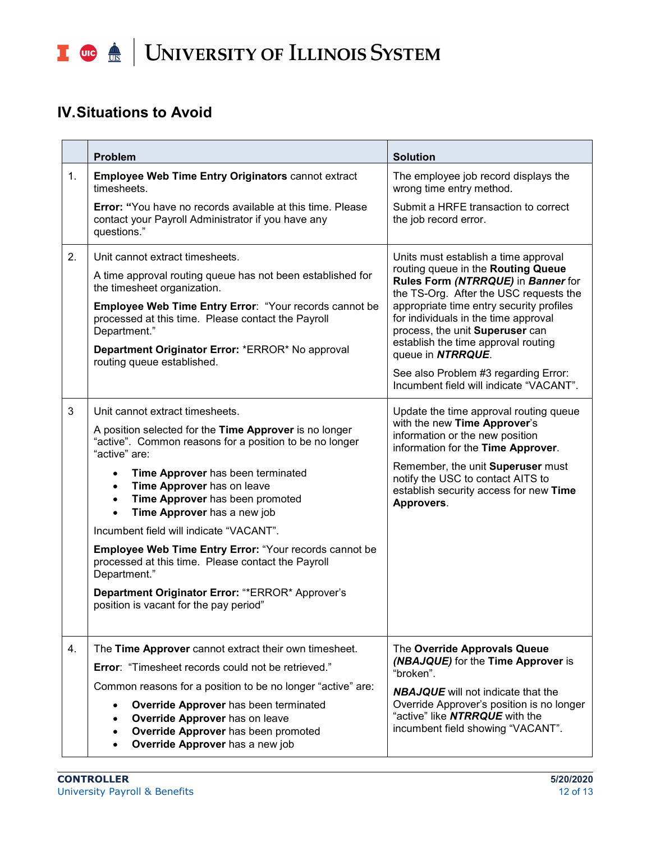## I **C**  $\triangleq$  UNIVERSITY OF ILLINOIS SYSTEM

## **IV.Situations to Avoid**

|    | <b>Problem</b>                                                                                                                                                           | <b>Solution</b>                                                                                                                                                                                                                                                                                       |  |  |
|----|--------------------------------------------------------------------------------------------------------------------------------------------------------------------------|-------------------------------------------------------------------------------------------------------------------------------------------------------------------------------------------------------------------------------------------------------------------------------------------------------|--|--|
| 1. | <b>Employee Web Time Entry Originators cannot extract</b><br>timesheets.                                                                                                 | The employee job record displays the<br>wrong time entry method.                                                                                                                                                                                                                                      |  |  |
|    | <b>Error:</b> "You have no records available at this time. Please<br>contact your Payroll Administrator if you have any<br>questions."                                   | Submit a HRFE transaction to correct<br>the job record error.                                                                                                                                                                                                                                         |  |  |
| 2. | Unit cannot extract timesheets.                                                                                                                                          | Units must establish a time approval                                                                                                                                                                                                                                                                  |  |  |
|    | A time approval routing queue has not been established for<br>the timesheet organization.                                                                                | routing queue in the Routing Queue<br>Rules Form (NTRRQUE) in Banner for<br>the TS-Org. After the USC requests the<br>appropriate time entry security profiles<br>for individuals in the time approval<br>process, the unit Superuser can<br>establish the time approval routing<br>queue in NTRRQUE. |  |  |
|    | Employee Web Time Entry Error: "Your records cannot be<br>processed at this time. Please contact the Payroll<br>Department."                                             |                                                                                                                                                                                                                                                                                                       |  |  |
|    | Department Originator Error: *ERROR* No approval<br>routing queue established.                                                                                           |                                                                                                                                                                                                                                                                                                       |  |  |
|    |                                                                                                                                                                          | See also Problem #3 regarding Error:<br>Incumbent field will indicate "VACANT".                                                                                                                                                                                                                       |  |  |
| 3  | Unit cannot extract timesheets.                                                                                                                                          | Update the time approval routing queue<br>with the new Time Approver's<br>information or the new position<br>information for the Time Approver.                                                                                                                                                       |  |  |
|    | A position selected for the Time Approver is no longer<br>"active". Common reasons for a position to be no longer<br>"active" are:                                       |                                                                                                                                                                                                                                                                                                       |  |  |
|    | Time Approver has been terminated<br>$\bullet$<br>Time Approver has on leave<br>$\bullet$<br>Time Approver has been promoted<br>$\bullet$<br>Time Approver has a new job | Remember, the unit Superuser must<br>notify the USC to contact AITS to<br>establish security access for new Time<br>Approvers.                                                                                                                                                                        |  |  |
|    | Incumbent field will indicate "VACANT".                                                                                                                                  |                                                                                                                                                                                                                                                                                                       |  |  |
|    | <b>Employee Web Time Entry Error: "Your records cannot be</b><br>processed at this time. Please contact the Payroll<br>Department."                                      |                                                                                                                                                                                                                                                                                                       |  |  |
|    | Department Originator Error: "*ERROR* Approver's<br>position is vacant for the pay period"                                                                               |                                                                                                                                                                                                                                                                                                       |  |  |
| 4. | The Time Approver cannot extract their own timesheet.                                                                                                                    | The Override Approvals Queue                                                                                                                                                                                                                                                                          |  |  |
|    | <b>Error: "Timesheet records could not be retrieved."</b>                                                                                                                | (NBAJQUE) for the Time Approver is<br>"broken".                                                                                                                                                                                                                                                       |  |  |
|    | Common reasons for a position to be no longer "active" are:                                                                                                              | <b>NBAJQUE</b> will not indicate that the                                                                                                                                                                                                                                                             |  |  |
|    | Override Approver has been terminated<br>Override Approver has on leave<br>Override Approver has been promoted<br>Override Approver has a new job                        | Override Approver's position is no longer<br>"active" like NTRRQUE with the<br>incumbent field showing "VACANT".                                                                                                                                                                                      |  |  |